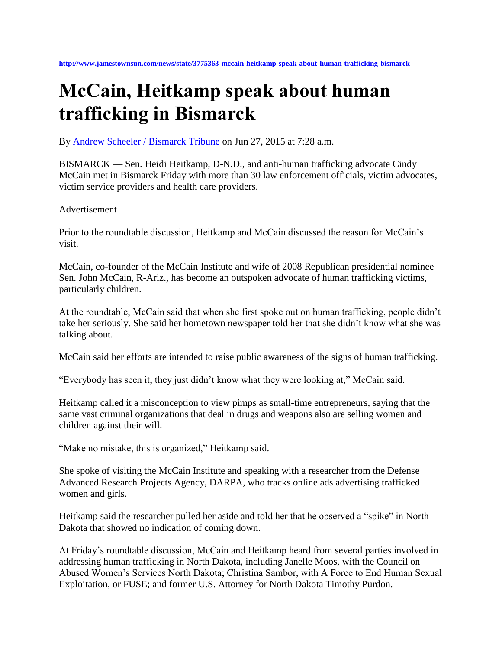## **McCain, Heitkamp speak about human trafficking in Bismarck**

By [Andrew Scheeler / Bismarck Tribune](http://www.jamestownsun.com/users/andrew-scheeler-bismarck-tribune-0) on Jun 27, 2015 at 7:28 a.m.

BISMARCK — Sen. Heidi Heitkamp, D-N.D., and anti-human trafficking advocate Cindy McCain met in Bismarck Friday with more than 30 law enforcement officials, victim advocates, victim service providers and health care providers.

## Advertisement

Prior to the roundtable discussion, Heitkamp and McCain discussed the reason for McCain's visit.

McCain, co-founder of the McCain Institute and wife of 2008 Republican presidential nominee Sen. John McCain, R-Ariz., has become an outspoken advocate of human trafficking victims, particularly children.

At the roundtable, McCain said that when she first spoke out on human trafficking, people didn't take her seriously. She said her hometown newspaper told her that she didn't know what she was talking about.

McCain said her efforts are intended to raise public awareness of the signs of human trafficking.

"Everybody has seen it, they just didn't know what they were looking at," McCain said.

Heitkamp called it a misconception to view pimps as small-time entrepreneurs, saying that the same vast criminal organizations that deal in drugs and weapons also are selling women and children against their will.

"Make no mistake, this is organized," Heitkamp said.

She spoke of visiting the McCain Institute and speaking with a researcher from the Defense Advanced Research Projects Agency, DARPA, who tracks online ads advertising trafficked women and girls.

Heitkamp said the researcher pulled her aside and told her that he observed a "spike" in North Dakota that showed no indication of coming down.

At Friday's roundtable discussion, McCain and Heitkamp heard from several parties involved in addressing human trafficking in North Dakota, including Janelle Moos, with the Council on Abused Women's Services North Dakota; Christina Sambor, with A Force to End Human Sexual Exploitation, or FUSE; and former U.S. Attorney for North Dakota Timothy Purdon.